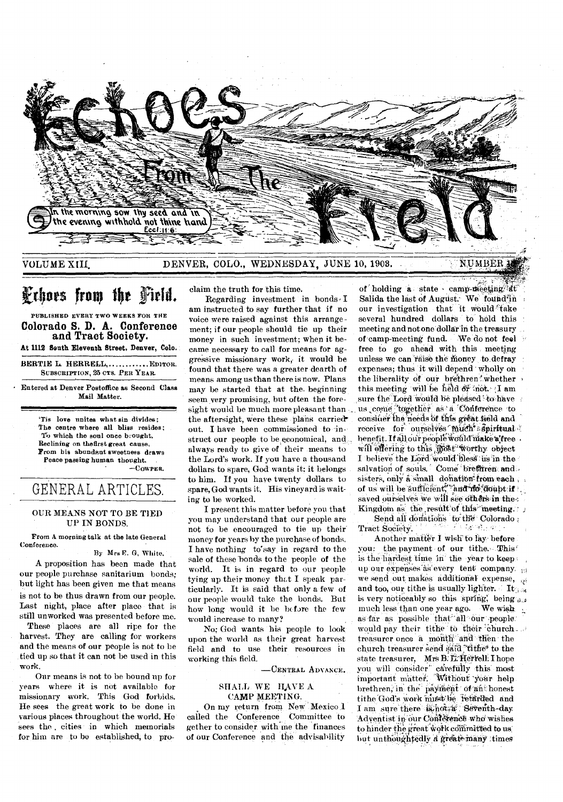

VOLUME XIII, DENVER, COLO., WEDNESDAY, JUNE 10, 1908.

#### **NUMBER**

# Fehors from the Field.

PUBLISHED EVERY TWO WEEKS FOR THE **Colorado S. D. A. Conference and Tract Society.** 

**At 1112 South Eleventh Street, Denver, Colo.** 

BERTIE L. HERRELL, ............ EDITOR. SUBSCRIPTION, 25 CTS. PER YEAR.

• Entered at Denver Postoffice as Second Class Mail Matter.

> `Tis love unites what sin divides; The centre where all bliss resides; To which the soul once brought, Reclining on thefirst great cause, From his abundant sweetness draws Peace passing human thought. —COWPER.

## GENERAL ARTICLES.

#### OUR MEANS NOT TO BE TIED UP IN BONDS.

From A morning talk at the late General Conference.

By Mrs E. G. White.

A proposition has been made that our people purchase sanitarium bonds; but light has been given me that means is not to be thus drawn from our people. Last night, place after place that is still unworked was presented before me.

These places are all ripe for the harvest. They are calling for workers and the means of our people is not to be tied up so that it can not be used in this work.

Our means is not to be bound up for years where it is not available for missionary work. This God forbids. He sees the great work to be done in various places throughout the world. He sees the cities in which memorials for him are to be established, to proclaim the truth for this time.

Regarding investment in bonds  $I$ am instructed to say further that if no voice were raised against this arrangement; if our people should tie up their money in such investment; when it became necessary to call for means for aggressive missionary work, it would be found that there was a greater dearth of means among us than there is now. Plans may be started that at the. beginning. seem very promising, but often the foresight would be much more pleasant than the aftersight, were these plans carried out. I have been commissioned to in struct our people to be economical, and always ready to give of their .means to the Lord's work. If you have a thousand dollars to spare, God wants it; it belongs to him. If you have twenty dollars to spare, God wants it. His vineyard is waiting to be worked.

I present this matter before you that you may understand that our people are not to be encouraged to tie up their money for years by the purchase of bonds. I have nothing to\*say in regard to thesale of these bonds to the people of the world. It is in regard to our people tying up their money that I speak particularly. It is said that only a few of our people would take the bonds. But how long would it be before the few would increase to many?

No; God wants his people to look upon the world as their great harvest field and to use their resources in working this field.

-CENTRAL ADVANCE.

#### SHALL WE HAVE A CAMP MEETING.

On my return from New Mexico 1 called the. Conference\_ Committee to gether to consider with me the finances of our Conference and the advisability

of holding a state - camp-meeting at Salida the last of August. We found in our investigation that it would 'take several hundred dollars to hold this meeting and not one dollar in the treasury of camp-meeting fund. •We do not feel free to go ahead with this meeting unless we can raise the money to defray expenses; thus it will depend wholly on the liberality of our brethren whether this meeting will be held or not. I am sure the Lord would be pleased to have us come together as a Conference to consiner the needs of this great field and receive for ourselves much aspiritual benefit. If all our people would make a free. will effering to this most worthy object I believe the Lord would bless us in the salvation of souls. Come brethren and. sisters, only a small donation from each, of us will be sufficient, and no doubt if saved ourselves we will see others in the. Kingdom as the result of this meeting.

Send all donations to the Colorado ;<br>et Society. Tract Society.

Another matter I wish to lay before you: the payment of our tithe. This! is the hardest time in the year to keep. up our expenses as every tent company.  $\frac{1}{10}$ we send out makes additional expense,  $\phi$ and too, our tithe is usually lighter. It is very noticeably so this spring; being  $\eta_{11}$ . much less than one year ago. We wish as far as possible that all our people. would pay their tithe to their church. treasurer once a month and then the church treasurer send said "tithe" to the state treasurer, Mrs B. E. Herrell. I hope you will consider carefully this most important matter. Without your help brethren, in the payment of an honest tithe God's work must be retarded and I am sure there  $i\sin\alpha + i$ : Seventh-day Adventist in our Conference who wishes to hinder the great work committed to us but unthoughtedly a greate many times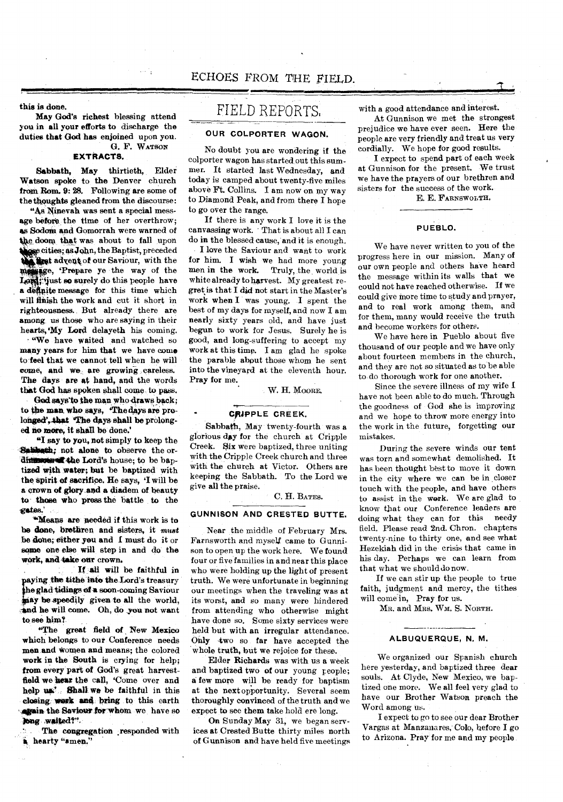**this is done.** 

**May God's richest blessing attend you in all your efforts to discharge the duties that God has enjoined upon you.**  G. F. WATSON

#### **EXTRACTS.**

**Sabbath, May thirtieth, Elder Watson spoke to the Denver church from Rom. 9: 28. Following are some of the thoughts gleaned from the discourse:** 

**"As Nineveh was sent a special message before the time of her overthrow; as Sodom and Gomorrah were warned of tke, doom that was about to fall upon the second and Gomorrah were warned of**<br>
the doom that was about to fall upon<br>
the doom that was about to fall upon<br> **the conduction** of our Saviour, with the<br> **the conduction** of this poople have<br> **f** conduction and the **e cities; as John, the Baptist, preceded Ike advent of our Saviour, with the** Lord; just so surely do this people have **a definite message for this time which will finish the work and cut it short in righteousness. But already there are among us those who are** *saying* **in their hearts,'My Lord delayeth his coming.** 

**"We have waited and watched so many years for him that we have come to feel that we cannot tell when he will come, and we, are growing careless. The days are at hand, and the words that God has spoken shall come to pass.** 

God says to the man who draws back; '**The to the man who** *says,* **'The days are pro**longed', that 'The days shall be prolong**ed no more, it shall be done.'** 

**"I say to you, not simply to keep the aniaholik; not alone to observe the or**dimension that the Lord's house; to be baptized with water; but be baptized with **the spirit of sacrifice. He says, 'I will be a crown of glory .and a diadem of beauty to those who press the battle to the -gates.'** 

**"'Means are needed if this work is to be done, brethren and sisters, it** *mast*  **be done; either you and I must do it or some one else will step in and do the work, and take our crown.** 

**If all will be faithful in just** be speedily given to all the world, **aying the tithe into the.Lord's treasury**  the glad tidings of a soon-coming Saviour **iand he will come. Oh, do you not want to see him?** 

**"The great field of , New Mexico which belongs to our Conference needs men and women and means; the colored work in the South is** *crying* **for help;**  from every part of God's great harvest**field we hear the call, 'Come over and**  help use **Shall** we be faithful in this **closing yank and bring to this earth varain the Saviour for whom we have so Ong waltedt"-** 

**The congregation .responded with \* hearty "amen."** 

### FIELD REPORTS,

#### **OUR COLPORTER WAGON.**

No doubt you are wondering if the colporter wagon has started out this summer. It started last Wednesday, and today is camped about twenty-five miles above Ft. Collins. I am now on my way to Diamond Peak, and from there I hope to go over the range.

If there is any work I love it is the canvassing work. That is about all I can do **in the** blessed cause, and it is enough.

**I** love the Saviour and want to work **for him. I** wish we had more young men in the work. Truly, the world is white already to harvest. My greatest regret **is** that I did not start in the Master's **work when I** was young. I spent the best of my days for myself, and now I am **nearly** sixty years old, and have just begun to work for Jesus. Surely he is good, and long-suffering to accept my work at this time. I am glad he spoke **the parable** about those whom he sent **into the vineyard** at the eleventh hour. **Pray for me.** 

**W. H.** MOORE.

#### **CRIPPLE CREEK.**

**Sabbath,** May twenty-fourth was a glorious day for the church at Cripple Creek. **Six** were baptized, three uniting with the Cripple Creek church and three with the church at Victor. Others are keeping the Sabbath. To the Lord we give **all the** praise.

#### C. H. BATES.

#### **GUNNISON AND CRESTED BUTTE.**

Near the middle of February Mrs. Farnsworth and myself came to Gunnison to open up the work here. We found four or five families in and near this place who were holding up the light of present truth. We were unfortunate in beginning our meetings when the traveling was at its worst, and so many were hindered from attending who otherwise might have done so. Some sixty services were held but with an irregular attendance. Only 4wo so **far** have accepted the whole truth, but we rejoice for these.

**Elder Richards** was with us a week and baptized two of our young people; **a few more will** be ready for baptism at the next opportunity. Several seem **thoroughly convinced of** the truth and we expect **to** see **them** take hold ere long.

**On Sunday May 31,** we began services *at* Crested Butte thirty miles north of Gunnison and have held five meetings with a good attendance and interest.

At Gunnison we met the strongest prejudice we have ever seen. Here the people are very friendly and treat us very cordially. We hope for good results.

I expect to spend part of each week at Gunnison for the present. We trust we have the prayers of our brethren and sisters for the success of the work.

E. E. FARNSWOLTH,

#### **PUEBLO.**

We have never written to you of the progress here in our mission. Many of our own people and others have heard the message within its walls that we could not have reached otherwise. If we could give more time to study and prayer, and to real work among them, and for them, many would receive the truth and become workers for others.

We have here in Pueblo about five thousand of our people and we have only about fourteen members in the church, and they are not so situated as to be able to do thorough work for one another.

Since the severe illness of my wife I have not been able to do much. Through the goodness of God she is improving and we hope to throw more energy into the work in the future, forgetting our mistakes.

During the severe winds our tent was torn and somewhat demolished. It has been thought best to move it down in the city where we can be in closer touch with the people, and have others to assist in the work. We are glad to know that our Conference leaders are doing what they can for this needy field. Please read 2nd. Chron. chapters twenty-nine to thirty one, and see what Hezekiah did in the crisis that came in his day. Perhaps we can learn from that what we should do now.

If we can stir up the people to true faith, judgment and mercy, the tithes will come in, Pray for us.

MR. and MRS. WM. **S.** NORTH.

#### ---------**ALBUQUERQUE, N. M.**

We organized our Spanish church here yesterday, and baptized three dear souls. At Clyde, New Mexico, we baptized one more. We all feel very glad to have our Brother Watson preach the Word among us.

**I** expect to go to see our dear Brother Vargas at Manzanares, Colo, before I go to Arizona. Pray for me and my people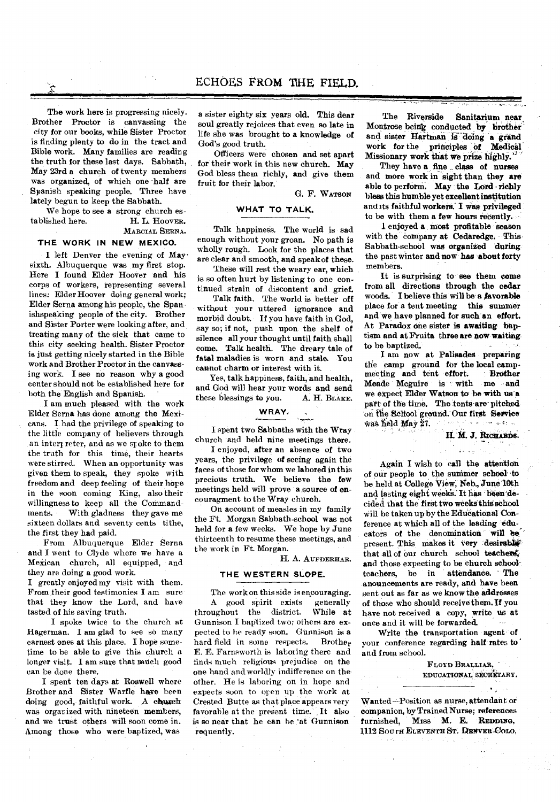### ECHOES FROM THE FIELD.

The work here is progressing nicely. Brother Proctor is canvassing the city for our books, while Sister Proctor is finding plenty to do in the tract and Bible work. Many families are reading the truth for these last days. Sabbath, May 23rd a church of twenty members was organized, of which one •half are Spanish speaking people. Three have lately begun to keep the Sabbath.

We hope to see a strong church established here. **H. L. HOOVER. MARCIAL SERNA.** 

#### **THE WORK IN NEW MEXICO.**

I left Denver the evening of May • sixth. Albuquerque was my first stop. Here I found Elder Hoover and his corps of workers, representing several lines: Elder Hoover doing general work; Elder Serna among his people, the Spanishspeaking people of the city. Brother and Sister Porter were looking after, and treating many of the sick that came to this city seeking health. Sister Proctor is just getting nicely started in the Bible work and Brother Proctor in the canvassing work. I see no reason why a good center should not be established here for both the English and Spanish.

I am much pleased with the work Elder Serna has done among the Mexicans. I had the privilege of speaking to the little company of believers through an intert reter, and as we spoke to them the truth for this time, their hearts were stirred. When an opportunity was given them to speak, they spoke with freedom and deep feeling of their hope in the soon coming King, also their willingness to keep all the Commandments. With gladness they gave me sixteen dollars and seventy cents tithe, the first they had paid.

From Albuquerque Elder Serna and I went to Clyde where we have a Mexican church, all equipped, and they are doing a good work.

I greatly enjoyed my visit with them. From:their good testimonies I am sure that they know the Lord, and have tasted of his saving truth.

I spoke twice to the church at Hagerman. I am glad to see so many earnest ones at this place. I hope sometime to be able to give this church a longer visit. I am sure that much good can be done there.

I spent ten days at Roswell where Brother and Sister Warfle have been doing good, faithful work. A church was orgar ized with nineteen members, and we trust others will soon come in. Among those who were baptized, was

a sister eighty six years old. This dear soul greatly rejoices that even so late in life she was brought to a knowledge of God's good truth.

Officers were chosen and set apart for their work in this new church. May God bless them richly, and give them fruit for their labor.

G. F. WATSON

### **WHAT TO TALK.**

Talk happiness. The world is sad enough without your groan. No path is wholly rough. Look for the places that are clear and smooth, and speak of these.

These will rest the weary ear, which is so often hurt by listening to one continued strain of discontent and grief.

Talk faith. The world is better off without your uttered ignorance and morbid doubt. If you have faith in God, say so; if not, push upon the shelf of silence all your thought until faith shall come. Talk health. The dreary tale of fatal maladies is worn and stale. You cannot charm or interest with it.

Yes, talk happiness, faith, and health, and God will hear your words and send these blessings to you. A. H. **BLAKE.** 

#### **WRAY.**

I spent two Sabbaths with the Wray church and held nine meetings there.

I enjoyed, after an absence of two years, the privilege of seeing again the faces of those for whom we labored in this precious truth. We believe the few meetings held will prove a source of encouragment to the Wray church.

On account of measles in my family the Ft. Morgan Sabbath-school was not held for a few weeks. We hope by June thirteenth to resume these meetings, and the work in Ft. Morgan.

H. A. **AUFDERHAR.** 

#### **THE WESTERN SLOPE.**

The work on this side is encouraging.<br>A good spirit exists generally

A good spirit exists generally<br>ughout the district. While at throughout the district. Gunnison I baptized two: others are expected to he ready soon. Gunnison is a hard field in some respects. Brother E. E. Farnsworth is laboring there and finds much religious prejudice on the one hand and worldly indifference on the other. He is laboring on in hope and expects soon to open up the work at Crested Butte as that place appears very favorable at the present time. It also is so near that he can be 'at Gunnison requently.

The Riverside Sanitarium near. Montrose being conducted by brother and sister Hartman is doing a grand work for the principles of Medical Missionary work that we prize highly.

They have a fine class of nurses and more work in sight than they are able to perform. May the Lord richly bless this humble yet excellent institution and its faithful workers: I was privileged to be with them a few hours recently.

1 enjoyed a most profitable season with the company at Cedaredge. This Sabbath-school was organized during the past winter and now has about forty members.

It is surprising to see them come from all directions through the cedar woods. I believe this will be a favorable place for a tent meeting this summer and we have planned for such an effort. At Paradox one sister is awaiting baptism and at Fruita three are now waiting to be baptized.

I am now at Palisades preparing the camp ground for the local camp-<br>meeting and tent effort. Brother meeting and tent effort. Meade Mcguire is with me and we expeci Elder Watson to be with us'a part of the time. The tents are pitched on the School ground. Our first Service was held May 27.

H. M. J. RICHARDS.

 $\frac{1}{2}$  ,  $\frac{1}{2}$ 

Again I wish to call the attention of our people to the summer school •to be held at College View; Neb., June 10th and lasting eight weeks. It has been decided that the first two weeks this school will be taken up by the Educational Conference at which all of the leading educators of the denomination will be present. This makes it very desirable that all of our church school teachers, and those expecting to be church school-<br>teachers, be in attendance. The teachers, be in anouncements are ready, and have been sent out as far as we know the addresses of those who should receive them. If you have not received a copy, write us at once and it will be forwarded.

Write the transportation agent of your conference regarding half rates to' and from school.

> **FLOYD BRALLIAR, EDUCATIONAL SECRETARY.**

> > $\bullet$  ,

Wanted—Position as nurse, attendant or companion, by Trained Nurse; references<br>furnished, Miss M. E. REDDING, furnished, Miss M. E. **REDDING, 1112 SOUTH ELEVENTH ST. DENVER-COLO.**